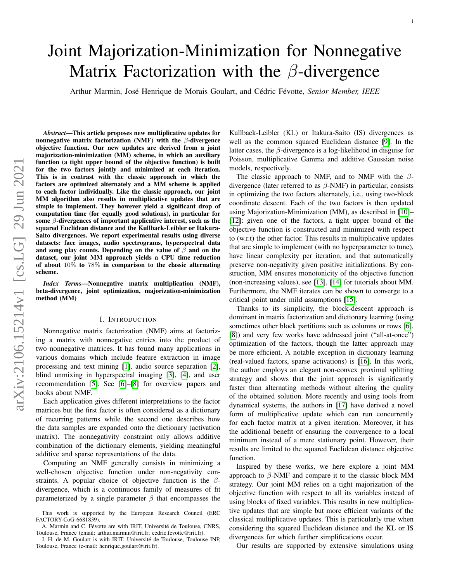# Joint Majorization-Minimization for Nonnegative Matrix Factorization with the  $\beta$ -divergence

Arthur Marmin, José Henrique de Morais Goulart, and Cédric Févotte, Senior Member, IEEE

*Abstract*—This article proposes new multiplicative updates for nonnegative matrix factorization (NMF) with the  $\beta$ -divergence objective function. Our new updates are derived from a joint majorization-minimization (MM) scheme, in which an auxiliary function (a tight upper bound of the objective function) is built for the two factors jointly and minimized at each iteration. This is in contrast with the classic approach in which the factors are optimized alternately and a MM scheme is applied to each factor individually. Like the classic approach, our joint MM algorithm also results in multiplicative updates that are simple to implement. They however yield a significant drop of computation time (for equally good solutions), in particular for some  $\beta$ -divergences of important applicative interest, such as the squared Euclidean distance and the Kullback-Leibler or Itakura-Saito divergences. We report experimental results using diverse datasets: face images, audio spectrograms, hyperspectral data and song play counts. Depending on the value of  $\beta$  and on the dataset, our joint MM approach yields a CPU time reduction of about 10% to 78% in comparison to the classic alternating scheme.

*Index Terms*—Nonnegative matrix multiplication (NMF), beta-divergence, joint optimization, majorization-minimization method (MM)

# I. INTRODUCTION

Nonnegative matrix factorization (NMF) aims at factorizing a matrix with nonnegative entries into the product of two nonnegative matrices. It has found many applications in various domains which include feature extraction in image processing and text mining [\[1\]](#page-7-0), audio source separation [\[2\]](#page-7-1), blind unmixing in hyperspectral imaging [\[3\]](#page-7-2), [\[4\]](#page-7-3), and user recommendation [\[5\]](#page-7-4). See [\[6\]](#page-7-5)–[\[8\]](#page-7-6) for overview papers and books about NMF.

Each application gives different interpretations to the factor matrices but the first factor is often considered as a dictionary of recurring patterns while the second one describes how the data samples are expanded onto the dictionary (activation matrix). The nonnegativity constraint only allows additive combination of the dictionary elements, yielding meaningful additive and sparse representations of the data.

Computing an NMF generally consists in minimizing a well-chosen objective function under non-negativity constraints. A popular choice of objective function is the  $\beta$ divergence, which is a continuous family of measures of fit parameterized by a single parameter  $\beta$  that encompasses the

Kullback-Leibler (KL) or Itakura-Saito (IS) divergences as well as the common squared Euclidean distance [\[9\]](#page-7-7). In the latter cases, the  $\beta$ -divergence is a log-likelihood in disguise for Poisson, multiplicative Gamma and additive Gaussian noise models, respectively.

The classic approach to NMF, and to NMF with the  $\beta$ divergence (later referred to as  $\beta$ -NMF) in particular, consists in optimizing the two factors alternately, i.e., using two-block coordinate descent. Each of the two factors is then updated using Majorization-Minimization (MM), as described in [\[10\]](#page-7-8)– [\[12\]](#page-7-9): given one of the factors, a tight upper bound of the objective function is constructed and minimized with respect to (w.r.t) the other factor. This results in multiplicative updates that are simple to implement (with no hyperparameter to tune), have linear complexity per iteration, and that automatically preserve non-negativity given positive initializations. By construction, MM ensures monotonicity of the objective function (non-increasing values), see [\[13\]](#page-7-10), [\[14\]](#page-7-11) for tutorials about MM. Furthermore, the NMF iterates can be shown to converge to a critical point under mild assumptions [\[15\]](#page-7-12).

Thanks to its simplicity, the block-descent approach is dominant in matrix factorization and dictionary learning (using sometimes other block partitions such as columns or rows [\[6\]](#page-7-5), [\[8\]](#page-7-6)) and very few works have addressed joint ("all-at-once") optimization of the factors, though the latter approach may be more efficient. A notable exception in dictionary learning (real-valued factors, sparse activations) is [\[16\]](#page-7-13). In this work, the author employs an elegant non-convex proximal splitting strategy and shows that the joint approach is significantly faster than alternating methods without altering the quality of the obtained solution. More recently and using tools from dynamical systems, the authors in [\[17\]](#page-7-14) have derived a novel form of multiplicative update which can run concurrently for each factor matrix at a given iteration. Moreover, it has the additional benefit of ensuring the convergence to a local minimum instead of a mere stationary point. However, their results are limited to the squared Euclidean distance objective function.

Inspired by these works, we here explore a joint MM approach to β-NMF and compare it to the classic block MM strategy. Our joint MM relies on a tight majorization of the objective function with respect to all its variables instead of using blocks of fixed variables. This results in new multiplicative updates that are simple but more efficient variants of the classical multiplicative updates. This is particularly true when considering the squared Euclidean distance and the KL or IS divergences for which further simplifications occur.

Our results are supported by extensive simulations using

This work is supported by the European Research Council (ERC FACTORY-CoG-6681839).

A. Marmin and C. Févotte are with IRIT, Université de Toulouse, CNRS, Toulouse, France (email: arthur.marmin@irit.fr; cedric.fevotte@irit.fr).

J. H. de M. Goulart is with IRIT, Université de Toulouse, Toulouse INP, Toulouse, France (e-mail: henrique.goulart@irit.fr).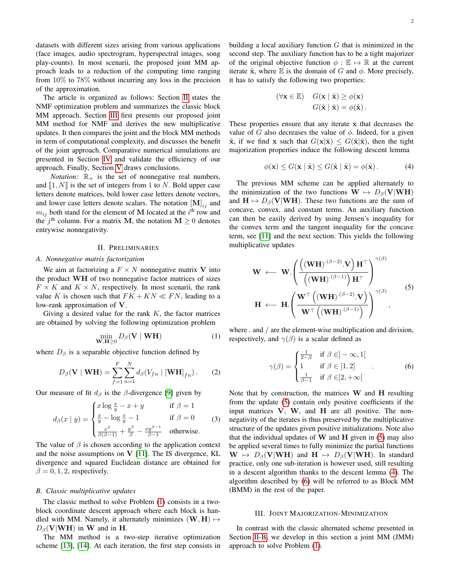datasets with different sizes arising from various applications (face images, audio spectrogram, hyperspectral images, song play-counts). In most scenarii, the proposed joint MM approach leads to a reduction of the computing time ranging from 10% to 78% without incurring any loss in the precision of the approximation.

The article is organized as follows: Section [II](#page-1-0) states the NMF optimization problem and summarizes the classic block MM approach. Section [III](#page-1-1) first presents our proposed joint MM method for NMF and derives the new multiplicative updates. It then compares the joint and the block MM methods in term of computational complexity, and discusses the benefit of the joint approach. Comparative numerical simulations are presented in Section [IV](#page-3-0) and validate the efficiency of our approach. Finally, Section [V](#page-7-15) draws conclusions.

*Notation:*  $\mathbb{R}_+$  is the set of nonnegative real numbers, and  $\llbracket 1, N \rrbracket$  is the set of integers from 1 to N. Bold upper case letters denote matrices, bold lower case letters denote vectors, and lower case letters denote scalars. The notation  $[M]_{ij}$  and  $m_{ij}$  both stand for the element of M located at the  $i<sup>th</sup>$  row and the  $j<sup>th</sup>$  column. For a matrix M, the notation  $M \ge 0$  denotes entrywise nonnegativity.

#### II. PRELIMINARIES

# <span id="page-1-0"></span>*A. Nonnegative matrix factorization*

We aim at factorizing a  $F \times N$  nonnegative matrix V into the product WH of two nonnegative factor matrices of sizes  $F \times K$  and  $K \times N$ , respectively. In most scenarii, the rank value K is chosen such that  $FK + KN \ll FN$ , leading to a low-rank approximation of V.

Giving a desired value for the rank  $K$ , the factor matrices are obtained by solving the following optimization problem

<span id="page-1-2"></span>
$$
\min_{\mathbf{W}, \mathbf{H} \ge 0} D_{\beta}(\mathbf{V} \mid \mathbf{W} \mathbf{H}) \tag{1}
$$

where  $D_\beta$  is a separable objective function defined by

<span id="page-1-7"></span>
$$
D_{\beta}(\mathbf{V} \mid \mathbf{WH}) = \sum_{f=1}^{F} \sum_{n=1}^{N} d_{\beta}(V_{fn} \mid [\mathbf{WH}]_{fn}).
$$
 (2)

Our measure of fit  $d_\beta$  is the  $\beta$ -divergence [\[9\]](#page-7-7) given by

$$
d_{\beta}(x \mid y) = \begin{cases} x \log \frac{x}{y} - x + y & \text{if } \beta = 1\\ \frac{x}{y} - \log \frac{x}{y} - 1 & \text{if } \beta = 0\\ \frac{x^{\beta}}{\beta(\beta - 1)} + \frac{y^{\beta}}{\beta} - \frac{xy^{\beta - 1}}{\beta - 1} & \text{otherwise.} \end{cases} \tag{3}
$$

The value of  $\beta$  is chosen according to the application context and the noise assumptions on  $V$  [\[11\]](#page-7-16). The IS divergence, KL divergence and squared Euclidean distance are obtained for  $\beta = 0, 1, 2$ , respectively.

#### <span id="page-1-6"></span>*B. Classic multiplicative updates*

The classic method to solve Problem [\(1\)](#page-1-2) consists in a twoblock coordinate descent approach where each block is handled with MM. Namely, it alternately minimizes  $(W, H) \mapsto$  $D_{\beta}(\mathbf{V}|\mathbf{W}\mathbf{H})$  in W and in H.

The MM method is a two-step iterative optimization scheme [\[13\]](#page-7-10), [\[14\]](#page-7-11). At each iteration, the first step consists in building a local auxiliary function  $G$  that is minimized in the second step. The auxiliary function has to be a tight majorizer of the original objective function  $\phi : \mathbb{E} \mapsto \mathbb{R}$  at the current iterate  $\tilde{\mathbf{x}}$ , where  $\mathbb E$  is the domain of G and  $\phi$ . More precisely, it has to satisfy the following two properties:

$$
(\forall \mathbf{x} \in \mathbb{E}) \quad G(\mathbf{x} \mid \tilde{\mathbf{x}}) \ge \phi(\mathbf{x})
$$

$$
G(\tilde{\mathbf{x}} \mid \tilde{\mathbf{x}}) = \phi(\tilde{\mathbf{x}}).
$$

These properties ensure that any iterate x that decreases the value of G also decreases the value of  $\phi$ . Indeed, for a given  $\tilde{\mathbf{x}}$ , if we find x such that  $G(\mathbf{x}|\tilde{\mathbf{x}}) \leq G(\tilde{\mathbf{x}}|\tilde{\mathbf{x}})$ , then the tight majorization properties induce the following descent lemma

<span id="page-1-4"></span>
$$
\phi(\mathbf{x}) \le G(\mathbf{x} \mid \tilde{\mathbf{x}}) \le G(\tilde{\mathbf{x}} \mid \tilde{\mathbf{x}}) = \phi(\tilde{\mathbf{x}}).
$$
 (4)

The previous MM scheme can be applied alternately to the minimization of the two functions  $\mathbf{W} \mapsto D_{\beta}(\mathbf{V}|\mathbf{W}\mathbf{H})$ and  $H \mapsto D_\beta(V|WH)$ . These two functions are the sum of concave, convex, and constant terms. An auxiliary function can then be easily derived by using Jensen's inequality for the convex term and the tangent inequality for the concave term, see [\[11\]](#page-7-16) and the next section. This yields the following multiplicative updates

<span id="page-1-3"></span>
$$
\mathbf{W} \leftarrow \mathbf{W} \cdot \left( \frac{\left( (\mathbf{W} \mathbf{H}) \cdot (\beta - 2) \cdot \mathbf{V} \right) \mathbf{H}^{\top}}{\left( (\mathbf{W} \mathbf{H}) \cdot (\beta - 1) \right) \mathbf{H}^{\top}} \right)^{\gamma(\beta)}
$$
\n
$$
\mathbf{H} \leftarrow \mathbf{H} \cdot \left( \frac{\mathbf{W}^{\top} \left( (\mathbf{W} \mathbf{H}) \cdot (\beta - 2) \cdot \mathbf{V} \right)}{\mathbf{W}^{\top} \left( (\mathbf{W} \mathbf{H}) \cdot (\beta - 1) \right)} \right)^{\gamma(\beta)}, \tag{5}
$$

where . and / are the element-wise multiplication and division, respectively, and  $\gamma(\beta)$  is a scalar defined as

<span id="page-1-5"></span>
$$
\gamma(\beta) = \begin{cases} \frac{1}{2-\beta} & \text{if } \beta \in ]-\infty, 1[\\ 1 & \text{if } \beta \in [1, 2] \\ \frac{1}{\beta-1} & \text{if } \beta \in ]2, +\infty[ \end{cases} \tag{6}
$$

Note that by construction, the matrices W and H resulting from the update [\(5\)](#page-1-3) contain only positive coefficients if the input matrices V, W, and H are all positive. The nonnegativity of the iterates is thus preserved by the multiplicative structure of the updates given positive initializations. Note also that the individual updates of  $W$  and  $H$  given in [\(5\)](#page-1-3) may also be applied several times to fully minimize the partial functions  $\mathbf{W} \mapsto D_{\beta}(\mathbf{V}|\mathbf{W}\mathbf{H})$  and  $\mathbf{H} \mapsto D_{\beta}(\mathbf{V}|\mathbf{W}\mathbf{H})$ . In standard practice, only one sub-iteration is however used, still resulting in a descent algorithm thanks to the descent lemma [\(4\)](#page-1-4). The algorithm described by [\(6\)](#page-1-5) will be referred to as Block MM (BMM) in the rest of the paper.

#### III. JOINT MAJORIZATION-MINIMIZATION

<span id="page-1-1"></span>In contrast with the classic alternated scheme presented in Section [II-B,](#page-1-6) we develop in this section a joint MM (JMM) approach to solve Problem [\(1\)](#page-1-2).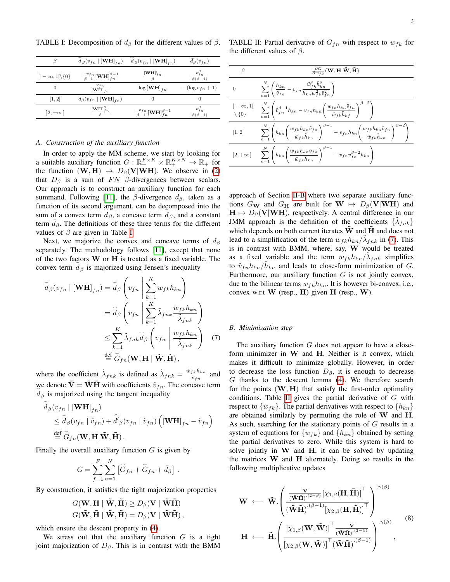<span id="page-2-0"></span>TABLE I: Decomposition of  $d_{\beta}$  for the different values of  $\beta$ .

|                               | $d_\beta(v_{fn}   [\textbf{WH}]_{fn})$                | $d_\beta(v_{fn}   [\mathbf{WH}]_{fn})$                | $d_{\beta}(v_{fn})$                  |
|-------------------------------|-------------------------------------------------------|-------------------------------------------------------|--------------------------------------|
| $]-\infty,1[\backslash\{0\}]$ | $\frac{-v_{fn}}{\beta-1}[\mathbf{WH}]_{fn}^{\beta-1}$ | $\frac{\left[\mathbf{WH}\right]_{fn}^{\beta}}{8}$     | $v_{fn}^{\rho}$<br>$\beta(\beta-1)$  |
| $\theta$                      | $\frac{v_{fn}}{\left[\mathbf{WH}\right]_{fn}}$        | $\log[\mathbf{WH}]_{fn}$                              | $-(\log v_{fn}+1)$                   |
| [1, 2]                        | $d_{\beta}(v_{fn}   [\mathbf{WH}]_{fn})$              |                                                       | 0                                    |
| $ 2,+\infty $                 | $\frac{\left[\mathbf{WH}\right]_{fn}^{\beta}}{8}$     | $\frac{-v_{fn}}{\beta-1}[\mathbf{WH}]_{fn}^{\beta-1}$ | $v_{fn}^{\beta}$<br>$\beta(\beta-1)$ |

## *A. Construction of the auxiliary function*

In order to apply the MM scheme, we start by looking for a suitable auxiliary function  $G: \mathbb{R}_+^{F \times K} \times \mathbb{R}_+^{K \times N} \to \mathbb{R}_+$  for the function  $(W, H) \mapsto D_\beta(V|WH)$ . We observe in [\(2\)](#page-1-7) that  $D_\beta$  is a sum of  $FN$   $\beta$ -divergences between scalars. Our approach is to construct an auxiliary function for each summand. Following [\[11\]](#page-7-16), the  $\beta$ -divergence  $d_{\beta}$ , taken as a function of its second argument, can be decomposed into the sum of a convex term  $d_{\beta}$ , a concave term  $d_{\beta}$ , and a constant term  $d_{\beta}$ . The definitions of these three terms for the different values of  $\beta$  are given in Table [I.](#page-2-0)

Next, we majorize the convex and concave terms of  $d_{\beta}$ separately. The methodology follows [\[11\]](#page-7-16), except that none of the two factors  $W$  or  $H$  is treated as a fixed variable. The convex term  $d_{\beta}$  is majorized using Jensen's inequality

$$
\widetilde{d}_{\beta}(v_{fn} \mid [\mathbf{WH}]_{fn}) = \widetilde{d}_{\beta}\left(v_{fn}\middle|\sum_{k=1}^{K} w_{fk}h_{kn}\right)
$$
\n
$$
= \widetilde{d}_{\beta}\left(v_{fn}\middle|\sum_{k=1}^{K} \widetilde{\lambda}_{fnk} \frac{w_{fk}h_{kn}}{\widetilde{\lambda}_{fnk}}\right)
$$
\n
$$
\leq \sum_{k=1}^{K} \widetilde{\lambda}_{fnk} \widetilde{d}_{\beta}\left(v_{fn}\middle|\frac{w_{fk}h_{kn}}{\widetilde{\lambda}_{fnk}}\right) \quad (7)
$$
\n
$$
\stackrel{\text{def}}{=} \widetilde{G}_{fn}(\mathbf{W}, \mathbf{H} \mid \widetilde{\mathbf{W}}, \widetilde{\mathbf{H}}),
$$

where the coefficient  $\tilde{\lambda}_{fnk}$  is defined as  $\tilde{\lambda}_{fnk} = \frac{\tilde{w}_{fk} \tilde{h}_{kn}}{\tilde{w}_{kn}}$  $\frac{f k^H k n}{\tilde{v}_{fn}}$  and we denote  $\tilde{\mathbf{V}} = \tilde{\mathbf{W}} \tilde{\mathbf{H}}$  with coefficients  $\tilde{v}_{fn}$ . The concave term  $d<sub>\beta</sub>$  is majorized using the tangent inequality

$$
\hat{d}_{\beta}(v_{fn} | [\mathbf{WH}]_{fn})
$$
\n
$$
\leq \hat{d}_{\beta}(v_{fn} | \tilde{v}_{fn}) + \hat{d}'_{\beta}(v_{fn} | \tilde{v}_{fn}) (\mathbf{[WH]}_{fn} - \tilde{v}_{fn})
$$
\n
$$
\stackrel{\text{def}}{=} \hat{G}_{fn}(\mathbf{W}, \mathbf{H} | \tilde{\mathbf{W}}, \tilde{\mathbf{H}}).
$$

Finally the overall auxiliary function  $G$  is given by

$$
G = \sum_{f=1}^{F} \sum_{n=1}^{N} \left[ \widetilde{G}_{fn} + \widehat{G}_{fn} + \bar{d}_{\beta} \right].
$$

By construction, it satisfies the tight majorization properties

$$
G(\mathbf{W}, \mathbf{H} \mid \tilde{\mathbf{W}}, \tilde{\mathbf{H}}) \ge D_{\beta}(\mathbf{V} \mid \tilde{\mathbf{W}} \tilde{\mathbf{H}})
$$
  

$$
G(\tilde{\mathbf{W}}, \tilde{\mathbf{H}} \mid \tilde{\mathbf{W}}, \tilde{\mathbf{H}}) = D_{\beta}(\mathbf{V} \mid \tilde{\mathbf{W}} \tilde{\mathbf{H}}),
$$

which ensure the descent property in [\(4\)](#page-1-4).

We stress out that the auxiliary function  $G$  is a tight joint majorization of  $D_\beta$ . This is in contrast with the BMM

<span id="page-2-2"></span>TABLE II: Partial derivative of  $G_{fn}$  with respect to  $w_{fk}$  for the different values of  $\beta$ .

| β                  | $\frac{\partial G}{\partial w_{fk}}(\mathbf{W},\mathbf{H} \tilde{\mathbf{W}},\tilde{\mathbf{H}})$                                                                                                                          |
|--------------------|----------------------------------------------------------------------------------------------------------------------------------------------------------------------------------------------------------------------------|
| $\overline{0}$     | $\sum_{n=1}^{\infty}\left(\frac{h_{kn}}{\tilde{v}_{fn}}-v_{fn}\frac{\tilde{w}_{fk}^2h_{kn}^2}{h_{kn}w_{fk}^2\tilde{v}_{fn}^2}\right)$                                                                                      |
|                    | $\begin{array}{cc}]-\infty,1[ & \sum\limits_{n=1}^{N}\left(\tilde{v}_{fn}^{\beta-1}h_{kn}-v_{fn}h_{kn}\bigg(\frac{w_{fk}h_{kn}\tilde{v}_{fn}}{\tilde{w}_{fk}\tilde{h}_{kf}}\bigg)^{\sim}\\ \end{array}\right)$             |
| $\left[1,2\right]$ | $\sum_{n=1}^N\left(h_{kn}\left(\frac{w_{fk}h_{kn}\tilde{v}_{fn}}{\tilde{w}_{fk}\tilde{h}_{kn}}\right)^{\beta-1}-v_{fn}h_{kn}\left(\frac{w_{fk}h_{kn}\tilde{v}_{fn}}{\tilde{w}_{fk}\tilde{h}_{kn}}\right)^{\beta-2}\right)$ |
|                    | $\left 2,+\infty\right[$ $\sum_{n=1}^N\left(h_{kn}\left(\frac{w_{fk}h_{kn}\tilde{v}_{fn}}{\tilde{w}_{fk}\tilde{h}_{kn}}\right)^{\beta-1} - v_{fn}\tilde{v}_{fn}^{\beta-2}h_{kn}\right)$                                    |

approach of Section [II-B](#page-1-6) where two separate auxiliary functions  $G_{\mathbf{W}}$  and  $G_{\mathbf{H}}$  are built for  $\mathbf{W} \mapsto D_{\beta}(\mathbf{V}|\mathbf{W}\mathbf{H})$  and  $H \mapsto D_{\beta}(V|WH)$ , respectively. A central difference in our JMM approach is the definition of the coefficients  $\{\tilde{\lambda}_{fnk}\}$ which depends on both current iterates  $\bf{W}$  and  $\bf{H}$  and does not lead to a simplification of the term  $w_{fk}h_{kn}/\tilde{\lambda}_{fnk}$  in [\(7\)](#page-2-1). This is in contrast with BMM, where, say, W would be treated as a fixed variable and the term  $w_{fk}h_{kn}/\tilde{\lambda}_{fnk}$  simplifies to  $\tilde{v}_{fn}h_{kn}/\tilde{h}_{kn}$  and leads to close-form minimization of G. Furthermore, our auxiliary function  $G$  is not jointly convex, due to the bilinear terms  $w_{fk}h_{kn}$ . It is however bi-convex, i.e., convex w.r.t  $W$  (resp.,  $H$ ) given  $H$  (resp.,  $W$ ).

# <span id="page-2-1"></span>*B. Minimization step*

The auxiliary function  $G$  does not appear to have a closeform minimizer in  $W$  and  $H$ . Neither is it convex, which makes it difficult to minimize globally. However, in order to decrease the loss function  $D_{\beta}$ , it is enough to decrease G thanks to the descent lemma [\(4\)](#page-1-4). We therefore search for the points  $(W, H)$  that satisfy the first-order optimality conditions. Table [II](#page-2-2) gives the partial derivative of  $G$  with respect to  $\{w_{fk}\}\$ . The partial derivatives with respect to  $\{h_{kn}\}\$ are obtained similarly by permuting the role of  $W$  and  $H$ . As such, searching for the stationary points of  $G$  results in a system of equations for  $\{w_{fk}\}\$ and  $\{h_{kn}\}\$ obtained by setting the partial derivatives to zero. While this system is hard to solve jointly in  $W$  and  $H$ , it can be solved by updating the matrices  $W$  and  $H$  alternately. Doing so results in the following multiplicative updates

<span id="page-2-3"></span>
$$
\mathbf{W} \leftarrow \tilde{\mathbf{W}} \cdot \left( \frac{\frac{\mathbf{V}}{(\tilde{\mathbf{W}}\tilde{\mathbf{H}})^{(\mathbf{2}-\beta)}} [\chi_{1,\beta}(\mathbf{H}, \tilde{\mathbf{H}})]^{\top}}{\left( \tilde{\mathbf{W}}\tilde{\mathbf{H}} \right)^{(\beta-1)} [\chi_{2,\beta}(\mathbf{H}, \tilde{\mathbf{H}})]^{\top}} \right)^{\cdot \gamma(\beta)}
$$
\n
$$
\mathbf{H} \leftarrow \tilde{\mathbf{H}} \cdot \left( \frac{\left[ \chi_{1,\beta}(\mathbf{W}, \tilde{\mathbf{W}}) \right]^{\top} \frac{\mathbf{V}}{(\tilde{\mathbf{W}}\tilde{\mathbf{H}})^{(\mathbf{2}-\beta)}}{\left[ \chi_{2,\beta}(\mathbf{W}, \tilde{\mathbf{W}}) \right]^{\top} (\tilde{\mathbf{W}}\tilde{\mathbf{H}})^{(\beta-1)}} \right)^{\cdot \gamma(\beta)},
$$
\n(8)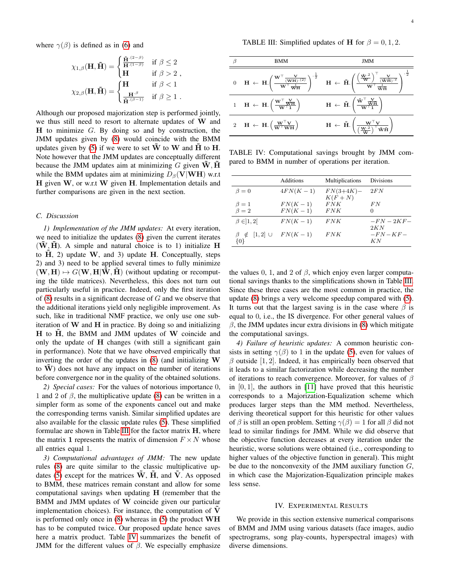where  $\gamma(\beta)$  is defined as in [\(6\)](#page-1-5) and

$$
\chi_{1,\beta}(\mathbf{H}, \tilde{\mathbf{H}}) = \begin{cases} \frac{\tilde{\mathbf{H}}^{(2-\beta)}}{\mathbf{H}^{(1-\beta)}} & \text{if } \beta \le 2 \\ \mathbf{H} & \text{if } \beta > 2 \\ \chi_{2,\beta}(\mathbf{H}, \tilde{\mathbf{H}}) = \begin{cases} \mathbf{H} & \text{if } \beta < 1 \\ \frac{\mathbf{H}^{\beta}}{\tilde{\mathbf{H}}^{(\beta-1)}} & \text{if } \beta \ge 1 \end{cases} .\end{cases}
$$

Although our proposed majorization step is performed jointly, we thus still need to resort to alternate updates of W and  $H$  to minimize  $G$ . By doing so and by construction, the JMM updates given by [\(8\)](#page-2-3) would coincide with the BMM updates given by [\(5\)](#page-1-3) if we were to set  $\tilde{W}$  to W and  $\tilde{H}$  to H. Note however that the JMM updates are conceptually different because the JMM updates aim at minimizing  $G$  given  $W, H$ while the BMM updates aim at minimizing  $D_\beta$ (V|WH) w.r.t  $H$  given  $W$ , or w.r.t  $W$  given  $H$ . Implementation details and further comparisons are given in the next section.

# *C. Discussion*

*1) Implementation of the JMM updates:* At every iteration, we need to initialize the updates [\(8\)](#page-2-3) given the current iterates  $(W, H)$ . A simple and natural choice is to 1) initialize H to  $\tilde{H}$ , 2) update W, and 3) update H. Conceptually, steps 2) and 3) need to be applied several times to fully minimize  $(W, H) \mapsto G(W, H|W, H)$  (without updating or recomputing the tilde matrices). Nevertheless, this does not turn out particularly useful in practice. Indeed, only the first iteration of  $(8)$  results in a significant decrease of  $G$  and we observe that the additional iterations yield only negligible improvement. As such, like in traditional NMF practice, we only use one subiteration of  $W$  and  $H$  in practice. By doing so and initializing  $H$  to  $H$ , the BMM and JMM updates of  $W$  coincide and only the update of H changes (with still a significant gain in performance). Note that we have observed empirically that inverting the order of the updates in  $(8)$  (and initializing W to  $\tilde{W}$ ) does not have any impact on the number of iterations before convergence nor in the quality of the obtained solutions.

*2) Special cases:* For the values of notorious importance 0, 1 and 2 of  $\beta$ , the multiplicative update [\(8\)](#page-2-3) can be written in a simpler form as some of the exponents cancel out and make the corresponding terms vanish. Similar simplified updates are also available for the classic update rules [\(5\)](#page-1-3). These simplified formulae are shown in Table [III](#page-3-1) for the factor matrix H, where the matrix 1 represents the matrix of dimension  $F \times N$  whose all entries equal 1.

<span id="page-3-3"></span>*3) Computational advantages of JMM:* The new update rules [\(8\)](#page-2-3) are quite similar to the classic multiplicative up-dates [\(5\)](#page-1-3) except for the matrices  $\overline{W}$ ,  $\overline{H}$ , and  $\overline{V}$ . As opposed to BMM, these matrices remain constant and allow for some computational savings when updating H (remember that the BMM and JMM updates of W coincide given our particular implementation choices). For instance, the computation of  $V$ is performed only once in [\(8\)](#page-2-3) whereas in [\(5\)](#page-1-3) the product WH has to be computed twice. Our proposed update hence saves here a matrix product. Table [IV](#page-3-2) summarizes the benefit of JMM for the different values of  $\beta$ . We especially emphasize

<span id="page-3-1"></span>

| ß | BMM                                                                            | JMM                                                                                                                                                                                                                                                                                                                                                                                                                                                                    |
|---|--------------------------------------------------------------------------------|------------------------------------------------------------------------------------------------------------------------------------------------------------------------------------------------------------------------------------------------------------------------------------------------------------------------------------------------------------------------------------------------------------------------------------------------------------------------|
|   |                                                                                | $0 \quad \  \  \mathbf{H} \; \leftarrow \; \mathbf{H} . \Bigg( \frac{\mathbf{W}^\top \frac{\mathbf{V}}{(\mathbf{W}\mathbf{H}) \cdot (2)}}{\mathbf{W}^\top \frac{1}{\mathbf{W}\mathbf{H}}} \Bigg)^{-\frac{1}{2}} \quad \  \  \mathbf{H} \; \leftarrow \; \tilde{\mathbf{H}} . \Bigg( \frac{\Big( \frac{\tilde{\mathbf{W}} \cdot 2}{\mathbf{W}} \Big)^\top \frac{\mathbf{V}}{(\tilde{\mathbf{W}}\tilde{\mathbf{H}})^{\cdot 2}}{\mathbf{W}^\top \frac{1}{\tilde{\mathbf{$ |
|   | 1 $H \leftarrow H \cdot \left(\frac{W^{\top} \frac{V}{WH}}{W^{\top} 1}\right)$ | $\mathbf{H} \leftarrow \tilde{\mathbf{H}} \cdot \left( \frac{\tilde{\mathbf{W}}^\top \frac{\mathbf{V}}{\tilde{\mathbf{W}}\tilde{\mathbf{H}}}}{\mathbf{W}^\top \mathbf{1}} \right)$                                                                                                                                                                                                                                                                                     |
|   | 2 H $\leftarrow$ H. $\left(\frac{W^{\top}V}{W^{\top}WH}\right)$                | $\mathbf{H} \leftarrow \tilde{\mathbf{H}}.\left(\frac{\mathbf{W}^{\top}\mathbf{V}}{\left(\frac{\mathbf{W}^{.2}}{\mathbf{W}}\right)^{\top}\tilde{\mathbf{W}}\tilde{\mathbf{H}}}\right)$                                                                                                                                                                                                                                                                                 |

<span id="page-3-2"></span>TABLE IV: Computational savings brought by JMM compared to BMM in number of operations per iteration.

|                                  | Additions  | Multiplications          | <b>Divisions</b>             |
|----------------------------------|------------|--------------------------|------------------------------|
| $\beta = 0$                      | $4FN(K-1)$ | $FN(3+4K) -$<br>$K(F+N)$ | 2FN                          |
| $\beta=1$                        | $FN(K-1)$  | FNK                      | FN                           |
| $\beta = 2$                      | $FN(K-1)$  | FNK                      | $\mathbf{0}$                 |
| $\beta \in ]1,2[$                | $FN(K-1)$  | FNK                      | $-FN-2KF-$                   |
| $\beta \notin [1,2] \cup$<br>10} | $FN(K-1)$  | FNK                      | 2KN<br>$-FN$ – $KF$ –<br>K N |

the values 0, 1, and 2 of  $\beta$ , which enjoy even larger computational savings thanks to the simplifications shown in Table [III.](#page-3-1) Since these three cases are the most common in practice, the update [\(8\)](#page-2-3) brings a very welcome speedup compared with [\(5\)](#page-1-3). It turns out that the largest saving is in the case where  $\beta$  is equal to 0, i.e., the IS divergence. For other general values of  $\beta$ , the JMM updates incur extra divisions in [\(8\)](#page-2-3) which mitigate the computational savings.

*4) Failure of heuristic updates:* A common heuristic consists in setting  $\gamma(\beta)$  to 1 in the update [\(5\)](#page-1-3), even for values of  $\beta$  outside [1, 2]. Indeed, it has empirically been observed that it leads to a similar factorization while decreasing the number of iterations to reach convergence. Moreover, for values of  $\beta$ in  $[0, 1]$ , the authors in  $[11]$  have proved that this heuristic corresponds to a Majorization-Equalization scheme which produces larger steps than the MM method. Nevertheless, deriving theoretical support for this heuristic for other values of  $\beta$  is still an open problem. Setting  $\gamma(\beta) = 1$  for all  $\beta$  did not lead to similar findings for JMM. While we did observe that the objective function decreases at every iteration under the heuristic, worse solutions were obtained (i.e., corresponding to higher values of the objective function in general). This might be due to the nonconvexity of the JMM auxiliary function  $G$ , in which case the Majorization-Equalization principle makes less sense.

## IV. EXPERIMENTAL RESULTS

<span id="page-3-0"></span>We provide in this section extensive numerical comparisons of BMM and JMM using various datasets (face images, audio spectrograms, song play-counts, hyperspectral images) with diverse dimensions.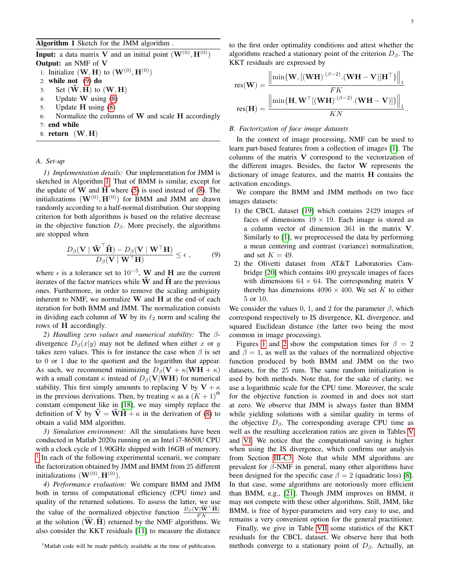<span id="page-4-1"></span>**Input:** a data matrix V and an initial point  $(\mathbf{W}^{(0)}, \mathbf{H}^{(0)})$ Output: an NMF of V 1: Initialize  $(\mathbf{W}, \mathbf{H})$  to  $(\mathbf{W}^{(0)}, \mathbf{H}^{(0)})$ 2: while not [\(9\)](#page-4-0) do 3: Set  $(\mathbf{W}, \mathbf{H})$  to  $(\mathbf{W}, \mathbf{H})$ 4: Update W using [\(8\)](#page-2-3) 5: Update H using [\(8\)](#page-2-3) 6: Normalize the columns of  $W$  and scale  $H$  accordingly 7: end while 8: return  $(W, H)$ 

# *A. Set-up*

*1) Implementation details:* Our implementation for JMM is sketched in Algorithm [1.](#page-4-1) That of BMM is similar, except for the update of  $W$  and  $H$  where [\(5\)](#page-1-3) is used instead of [\(8\)](#page-2-3). The initializations  $(\mathbf{W}^{(0)}, \mathbf{H}^{(0)})$  for BMM and JMM are drawn randomly according to a half-normal distribution. Our stopping criterion for both algorithms is based on the relative decrease in the objective function  $D_\beta$ . More precisely, the algorithms are stopped when

<span id="page-4-0"></span>
$$
\frac{D_{\beta}(\mathbf{V} \mid \tilde{\mathbf{W}}^{\top} \tilde{\mathbf{H}}) - D_{\beta}(\mathbf{V} \mid \mathbf{W}^{\top} \mathbf{H})}{D_{\beta}(\mathbf{V} \mid \mathbf{W}^{\top} \mathbf{H})} \le \epsilon ,\tag{9}
$$

where  $\epsilon$  is a tolerance set to 10<sup>-5</sup>, W and H are the current iterates of the factor matrices while  $W$  and  $H$  are the previous ones. Furthermore, in order to remove the scaling ambiguity inherent to NMF, we normalize  $W$  and  $H$  at the end of each iteration for both BMM and JMM. The normalization consists in dividing each column of W by its  $\ell_2$  norm and scaling the rows of H accordingly.

*2) Handling zero values and numerical stability:* The βdivergence  $D_\beta(x|y)$  may not be defined when either x or y takes zero values. This is for instance the case when  $\beta$  is set to 0 or 1 due to the quotient and the logarithm that appear. As such, we recommend minimizing  $D_\beta(\mathbf{V} + \kappa | \mathbf{W}\mathbf{H} + \kappa)$ with a small constant  $\kappa$  instead of  $D_\beta$ (V|WH) for numerical stability. This first simply amounts to replacing V by  $V + \kappa$ in the previous derivations. Then, by treating  $\kappa$  as a  $(K + 1)$ <sup>th</sup> constant component like in [\[18\]](#page-7-17), we may simply replace the definition of  $\overline{V}$  by  $\overline{V} = \overline{W}H + \kappa$  in the derivation of [\(8\)](#page-2-3) to obtain a valid MM algorithm.

*3) Simulation environment:* All the simulations have been conducted in Matlab 2020a running on an Intel i7-8650U CPU with a clock cycle of 1.90GHz shipped with 16GB of memory. <sup>[1](#page-4-2)</sup> In each of the following experimental scenarii, we compare the factorization obtained by JMM and BMM from 25 different initializations  $(\mathbf{W}^{(0)},\mathbf{H}^{(0)})$ .

*4) Performance evaluation:* We compare BMM and JMM both in terms of computational efficiency (CPU time) and quality of the returned solutions. To assess the latter, we use the value of the normalized objective function  $\frac{D_\beta(\mathbf{V}|\widehat{\mathbf{W}}^\top\widehat{\mathbf{H}})}{FN}$ at the solution  $(\widehat{W}, \widehat{H})$  returned by the NMF algorithms. We also consider the KKT residuals [\[11\]](#page-7-16) to measure the distance

<span id="page-4-2"></span><sup>1</sup>Matlab code will be made publicly available at the time of publication.

to the first order optimality conditions and attest whether the algorithms reached a stationary point of the criterion  $D_\beta$ . The KKT residuals are expressed by

$$
res(\mathbf{W}) = \frac{\left\|\min\{\mathbf{W}, [(\mathbf{W}\mathbf{H})^{(\beta-2)} \cdot (\mathbf{W}\mathbf{H} - \mathbf{V})]\mathbf{H}^{\top}\}\right\|_{1}}{FK}
$$

$$
res(\mathbf{H}) = \frac{\left\|\min\{\mathbf{H}, \mathbf{W}^{\top}[(\mathbf{W}\mathbf{H})^{(\beta-2)} \cdot (\mathbf{W}\mathbf{H} - \mathbf{V})]\}\right\|_{1}}{KN}.
$$

#### *B. Factorization of face image datasets*

In the context of image processing, NMF can be used to learn part-based features from a collection of images [\[1\]](#page-7-0). The columns of the matrix V correspond to the vectorization of the different images. Besides, the factor W represents the dictionary of image features, and the matrix H contains the activation encodings.

We compare the BMM and JMM methods on two face images datasets:

- 1) the CBCL dataset [\[19\]](#page-7-18) which contains 2429 images of faces of dimensions  $19 \times 19$ . Each image is stored as a column vector of dimension 361 in the matrix V. Similarly to [\[1\]](#page-7-0), we preprocessed the data by performing a mean centering and contrast (variance) normalization, and set  $K = 49$ .
- 2) the Olivetti dataset from AT&T Laboratories Cambridge [\[20\]](#page-7-19) which contains 400 greyscale images of faces with dimensions  $64 \times 64$ . The corresponding matrix V thereby has dimensions  $4096 \times 400$ . We set K to either 5 or 10.

We consider the values 0, 1, and 2 for the parameter  $\beta$ , which correspond respectively to IS divergence, KL divergence, and squared Euclidean distance (the latter two being the most common in image processing).

Figures [1](#page-5-0) and [2](#page-5-1) show the computation times for  $\beta = 2$ and  $\beta = 1$ , as well as the values of the normalized objective function produced by both BMM and JMM on the two datasets, for the 25 runs. The same random initialization is used by both methods. Note that, for the sake of clarity, we use a logarithmic scale for the CPU time. Moreover, the scale for the objective function is zoomed in and does not start at zero. We observe that JMM is always faster than BMM while yielding solutions with a similar quality in terms of the objective  $D_\beta$ . The corresponding average CPU time as well as the resulting acceleration ratios are given in Tables [V](#page-5-2) and [VI.](#page-5-3) We notice that the computational saving is higher when using the IS divergence, which confirms our analysis from Section [III-C3.](#page-3-3) Note that while MM algorithms are prevalent for β-NMF in general, many other algorithms have been designed for the specific case  $\beta = 2$  (quadratic loss) [\[8\]](#page-7-6). In that case, some algorithms are notoriously more efficient than BMM, e.g., [\[21\]](#page-7-20). Though JMM improves on BMM, it may not compete with these other algorithms. Still, JMM, like BMM, is free of hyper-parameters and very easy to use, and remains a very convenient option for the general practitioner.

Finally, we give in Table [VII](#page-6-0) some statistics of the KKT residuals for the CBCL dataset. We observe here that both methods converge to a stationary point of  $D_\beta$ . Actually, an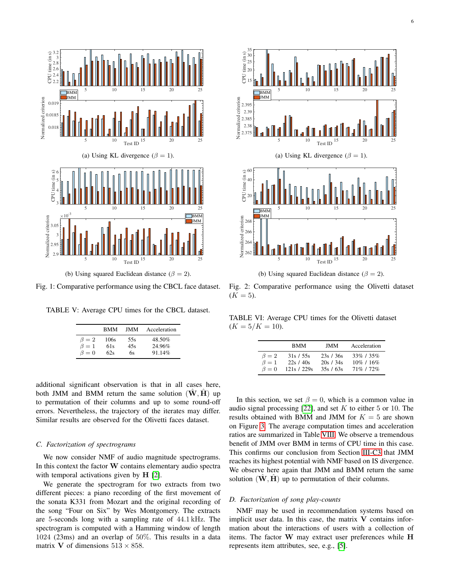<span id="page-5-0"></span>

Fig. 1: Comparative performance using the CBCL face dataset.

<span id="page-5-2"></span>

| TABLE V: Average CPU times for the CBCL dataset. |  |  |  |  |  |  |
|--------------------------------------------------|--|--|--|--|--|--|
|--------------------------------------------------|--|--|--|--|--|--|

|           | <b>BMM</b> | JMM. | Acceleration |
|-----------|------------|------|--------------|
| $\beta=2$ | 106s       | 55s  | 48.50%       |
| $\beta=1$ | 61s        | 45s  | 24.96%       |
| $\beta=0$ | 62s        | 6s   | 91.14%       |

additional significant observation is that in all cases here, both JMM and BMM return the same solution  $(W, H)$  up to permutation of their columns and up to some round-off errors. Nevertheless, the trajectory of the iterates may differ. Similar results are observed for the Olivetti faces dataset.

# *C. Factorization of spectrograms*

We now consider NMF of audio magnitude spectrograms. In this context the factor  $W$  contains elementary audio spectra with temporal activations given by **H** [\[2\]](#page-7-1).

We generate the spectrogram for two extracts from two different pieces: a piano recording of the first movement of the sonata K331 from Mozart and the original recording of the song "Four on Six" by Wes Montgomery. The extracts are 5-seconds long with a sampling rate of 44.1 kHz. The spectrogram is computed with a Hamming window of length 1024 (23ms) and an overlap of 50%. This results in a data matrix **V** of dimensions  $513 \times 858$ .

<span id="page-5-1"></span>



(b) Using squared Euclidean distance ( $\beta = 2$ ).

Fig. 2: Comparative performance using the Olivetti dataset  $(K = 5)$ .

<span id="page-5-3"></span>TABLE VI: Average CPU times for the Olivetti dataset  $(K = 5/K = 10).$ 

|           | <b>BMM</b>  | JMM.      | Acceleration  |
|-----------|-------------|-----------|---------------|
| $\beta=2$ | 31s / 55s   | 23s/36s   | 33\% / 35\%   |
| $\beta=1$ | 22s/40s     | 20s / 34s | $10\%$ / 16\% |
| $\beta=0$ | 121s / 229s | 35s/63s   | 71% / 72%     |

In this section, we set  $\beta = 0$ , which is a common value in audio signal processing  $[22]$ , and set K to either 5 or 10. The results obtained with BMM and JMM for  $K = 5$  are shown on Figure [3.](#page-6-1) The average computation times and acceleration ratios are summarized in Table [VIII.](#page-6-2) We observe a tremendous benefit of JMM over BMM in terms of CPU time in this case. This confirms our conclusion from Section [III-C3](#page-3-3) that JMM reaches its highest potential with NMF based on IS divergence. We observe here again that JMM and BMM return the same solution  $(W, H)$  up to permutation of their columns.

### *D. Factorization of song play-counts*

NMF may be used in recommendation systems based on implicit user data. In this case, the matrix  $V$  contains information about the interactions of users with a collection of items. The factor W may extract user preferences while H represents item attributes, see, e.g., [\[5\]](#page-7-4).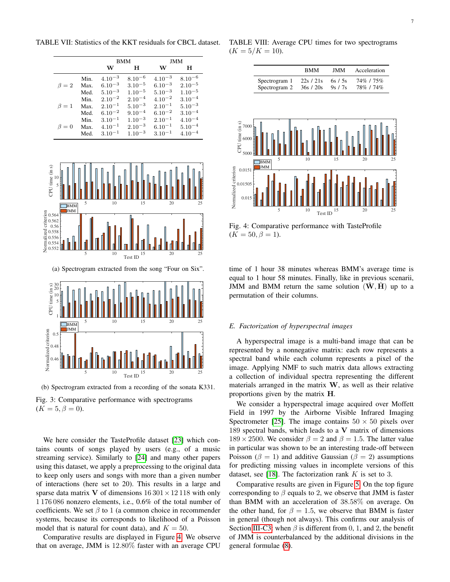<span id="page-6-1"></span>BMM H JMM W H W H  $\beta = 2$ Min.  $4.10^{-3}$   $8.10^{-6}$   $4.10^{-3}$   $8.10^{-6}$ <br>Max.  $6.10^{-3}$   $3.10^{-5}$   $6.10^{-3}$   $2.10^{-5}$  $\begin{array}{lllllll} \text{Max.} & 6.10^{-3} & 3.10^{-5} & 6.10^{-3} & 2.10^{-5} \\ \text{Med.} & 5.10^{-3} & 1.10^{-5} & 5.10^{-3} & 1.10^{-5} \end{array}$ Med.  $5.10^{-3}$   $1.10^{-5}$   $5.10^{-3}$ <br>Min.  $2.10^{-2}$   $2.10^{-4}$   $4.10^{-2}$  $\beta=1$  $\begin{array}{lllllll} \text{Min.} & 2.10^{-2} & 2.10^{-4} & 4.10^{-2} & 3.10^{-4} \\ \text{Max.} & 2.10^{-1} & 5.10^{-3} & 2.10^{-1} & 5.10^{-3} \end{array}$ Max.  $2.10^{-1}$   $5.10^{-3}$   $2.10^{-1}$   $5.10^{-3}$ <br>Med.  $6.10^{-2}$   $9.10^{-4}$   $6.10^{-2}$   $3.10^{-4}$ Med.  $6.10^{-2}$   $9.10^{-4}$   $6.10^{-2}$   $3.10^{-4}$ <br>Min.  $3.10^{-1}$   $1.10^{-3}$   $2.10^{-1}$   $4.10^{-4}$  $\beta = 0$ Min.  $3.10^{-1}$   $1.10^{-3}$   $2.10^{-1}$   $4.10^{-4}$ <br>Max.  $4.10^{-1}$   $2.10^{-3}$   $6.10^{-1}$   $5.10^{-4}$  $\begin{array}{lllllll} \text{Max.} & 4.10^{-1} & 2.10^{-3} & 6.10^{-1} & 5.10^{-4} \\ \text{Med.} & 3.10^{-1} & 1.10^{-3} & 3.10^{-1} & 4.10^{-4} \end{array}$ Med.  $3.10^{-1}$ 5 10 15 20 25 5 Hh  $10H$ CPU time (in s) 5 10 15 20 25 Test ID 0.552 0.554 0.556  $\frac{8}{8}$  0.558 Encircle 0.564<br>
10.562<br>
10.562<br>
10.556<br>
10.555<br>
10.554<br>
20.552 BMM **JMM** (a) Spectrogram extracted from the song "Four on Six". 5 10 15 20 25  $1 \mathbf{H}$ 5 H 10  $\begin{matrix} 30 \\ 20 \end{matrix}$ CPU time (in s) 5 10 15 20 25 Test ID  $0.46$   $\parallel$ 0.48  $0.5$ Normalized criterion BMM **JMM** 

<span id="page-6-0"></span>TABLE VII: Statistics of the KKT residuals for CBCL dataset.

(b) Spectrogram extracted from a recording of the sonata K331. Fig. 3: Comparative performance with spectrograms  $(K = 5, \beta = 0).$ 

We here consider the TasteProfile dataset [\[23\]](#page-7-22) which contains counts of songs played by users (e.g., of a music streaming service). Similarly to [\[24\]](#page-7-23) and many other papers using this dataset, we apply a preprocessing to the original data to keep only users and songs with more than a given number of interactions (here set to 20). This results in a large and sparse data matrix V of dimensions  $16301 \times 12118$  with only 1 176 086 nonzero elements, i.e., 0.6% of the total number of coefficients. We set  $\beta$  to 1 (a common choice in recommender systems, because its corresponds to likelihood of a Poisson model that is natural for count data), and  $K = 50$ .

Comparative results are displayed in Figure [4.](#page-6-3) We observe that on average, JMM is 12.80% faster with an average CPU

<span id="page-6-2"></span>TABLE VIII: Average CPU times for two spectrograms  $(K = 5/K = 10).$ 

<span id="page-6-3"></span>

Fig. 4: Comparative performance with TasteProfile  $(K = 50, \beta = 1).$ 

time of 1 hour 38 minutes whereas BMM's average time is equal to 1 hour 58 minutes. Finally, like in previous scenarii, JMM and BMM return the same solution  $(\hat{W}, \hat{H})$  up to a permutation of their columns.

# *E. Factorization of hyperspectral images*

A hyperspectral image is a multi-band image that can be represented by a nonnegative matrix: each row represents a spectral band while each column represents a pixel of the image. Applying NMF to such matrix data allows extracting a collection of individual spectra representing the different materials arranged in the matrix  $W$ , as well as their relative proportions given by the matrix H.

We consider a hyperspectral image acquired over Moffett Field in 1997 by the Airborne Visible Infrared Imaging Spectrometer [\[25\]](#page-8-0). The image contains  $50 \times 50$  pixels over 189 spectral bands, which leads to a  $V$  matrix of dimensions  $189 \times 2500$ . We consider  $\beta = 2$  and  $\beta = 1.5$ . The latter value in particular was shown to be an interesting trade-off between Poisson ( $\beta = 1$ ) and additive Gaussian ( $\beta = 2$ ) assumptions for predicting missing values in incomplete versions of this dataset, see [\[18\]](#page-7-17). The factorization rank  $K$  is set to 3.

Comparative results are given in Figure [5.](#page-7-24) On the top figure corresponding to  $\beta$  equals to 2, we observe that JMM is faster than BMM with an acceleration of 38.58% on average. On the other hand, for  $\beta = 1.5$ , we observe that BMM is faster in general (though not always). This confirms our analysis of Section [III-C3:](#page-3-3) when  $\beta$  is different from 0, 1, and 2, the benefit of JMM is counterbalanced by the additional divisions in the general formulae [\(8\)](#page-2-3).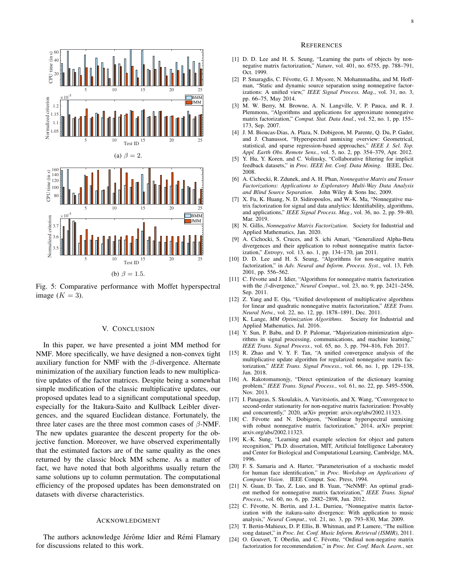<span id="page-7-24"></span>

Fig. 5: Comparative performance with Moffet hyperspectral image  $(K = 3)$ .

## V. CONCLUSION

<span id="page-7-15"></span>In this paper, we have presented a joint MM method for NMF. More specifically, we have designed a non-convex tight auxiliary function for NMF with the  $\beta$ -divergence. Alternate minimization of the auxiliary function leads to new multiplicative updates of the factor matrices. Despite being a somewhat simple modification of the classic multiplicative updates, our proposed updates lead to a significant computational speedup, especially for the Itakura-Saito and Kullback Leibler divergences, and the squared Euclidean distance. Fortunately, the three later cases are the three most common cases of  $\beta$ -NMF. The new updates guarantee the descent property for the objective function. Moreover, we have observed experimentally that the estimated factors are of the same quality as the ones returned by the classic block MM scheme. As a matter of fact, we have noted that both algorithms usually return the same solutions up to column permutation. The computational efficiency of the proposed updates has been demonstrated on datasets with diverse characteristics.

## ACKNOWLEDGMENT

The authors acknowledge Jérôme Idier and Rémi Flamary for discussions related to this work.

#### **REFERENCES**

- <span id="page-7-0"></span>[1] D. D. Lee and H. S. Seung, "Learning the parts of objects by nonnegative matrix factorization," *Nature*, vol. 401, no. 6755, pp. 788–791, Oct. 1999.
- <span id="page-7-1"></span>[2] P. Smaragdis, C. Févotte, G. J. Mysore, N. Mohammadiha, and M. Hoffman, "Static and dynamic source separation using nonnegative factorizations: A unified view," *IEEE Signal Process. Mag.*, vol. 31, no. 3, pp. 66–75, May 2014.
- <span id="page-7-2"></span>[3] M. W. Berry, M. Browne, A. N. Langville, V. P. Pauca, and R. J. Plemmons, "Algorithms and applications for approximate nonnegative matrix factorization," *Comput. Stat. Data Anal.*, vol. 52, no. 1, pp. 155– 173, Sep. 2007.
- <span id="page-7-3"></span>[4] J. M. Bioucas-Dias, A. Plaza, N. Dobigeon, M. Parente, Q. Du, P. Gader, and J. Chanussot, "Hyperspectral unmixing overview: Geometrical, statistical, and sparse regression-based approaches," *IEEE J. Sel. Top. Appl. Earth Obs. Remote Sens.*, vol. 5, no. 2, pp. 354–379, Apr. 2012.
- <span id="page-7-4"></span>[5] Y. Hu, Y. Koren, and C. Volinsky, "Collaborative filtering for implicit feedback datasets," in *Proc. IEEE Int. Conf. Data Mining*. IEEE, Dec. 2008.
- <span id="page-7-5"></span>[6] A. Cichocki, R. Zdunek, and A. H. Phan, *Nonnegative Matrix and Tensor Factorizations: Applications to Exploratory Multi-Way Data Analysis and Blind Source Separation*. John Wiley & Sons Inc, 2009.
- [7] X. Fu, K. Huang, N. D. Sidiropoulos, and W.-K. Ma, "Nonnegative matrix factorization for signal and data analytics: Identifiability, algorithms, and applications," *IEEE Signal Process. Mag.*, vol. 36, no. 2, pp. 59–80, Mar. 2019.
- <span id="page-7-6"></span>[8] N. Gillis, *Nonnegative Matrix Factorization*. Society for Industrial and Applied Mathematics, Jan. 2020.
- <span id="page-7-7"></span>[9] A. Cichocki, S. Cruces, and S. ichi Amari, "Generalized Alpha-Beta divergences and their application to robust nonnegative matrix factorization," *Entropy*, vol. 13, no. 1, pp. 134–170, jan 2011.
- <span id="page-7-8"></span>[10] D. D. Lee and H. S. Seung, "Algorithms for non-negative matrix factorization," in *Adv. Neural and Inform. Process. Syst.*, vol. 13, Feb. 2001, pp. 556–562.
- <span id="page-7-16"></span>[11] C. Févotte and J. Idier, "Algorithms for nonnegative matrix factorization with the β-divergence," *Neural Comput.*, vol. 23, no. 9, pp. 2421–2456, Sep. 2011.
- <span id="page-7-9"></span>[12] Z. Yang and E. Oja, "Unified development of multiplicative algorithms for linear and quadratic nonnegative matrix factorization," *IEEE Trans. Neural Netw.*, vol. 22, no. 12, pp. 1878–1891, Dec. 2011.
- <span id="page-7-10"></span>[13] K. Lange, *MM Optimization Algorithms*. Society for Industrial and Applied Mathematics, Jul. 2016.
- <span id="page-7-11"></span>[14] Y. Sun, P. Babu, and D. P. Palomar, "Majorization-minimization algorithms in signal processing, communications, and machine learning," *IEEE Trans. Signal Process.*, vol. 65, no. 3, pp. 794–816, Feb. 2017.
- <span id="page-7-12"></span>[15] R. Zhao and V. Y. F. Tan, "A unified convergence analysis of the multiplicative update algorithm for regularized nonnegative matrix factorization," *IEEE Trans. Signal Process.*, vol. 66, no. 1, pp. 129–138, Jan. 2018.
- <span id="page-7-13"></span>[16] A. Rakotomamonjy, "Direct optimization of the dictionary learning problem," *IEEE Trans. Signal Process.*, vol. 61, no. 22, pp. 5495–5506, Nov. 2013.
- <span id="page-7-14"></span>[17] I. Panageas, S. Skoulakis, A. Varvitsiotis, and X. Wang, "Convergence to second-order stationarity for non-negative matrix factorization: Provably and concurrently," 2020, arXiv preprint: arxiv.org/abs/2002.11323.
- <span id="page-7-17"></span>[18] C. Févotte and N. Dobigeon, "Nonlinear hyperspectral unmixing with robust nonnegative matrix factorization," 2014, arXiv preprint: arxiv.org/abs/2002.11323.
- <span id="page-7-18"></span>[19] K.-K. Sung, "Learning and example selection for object and pattern recognition," Ph.D. dissertation, MIT, Artificial Intelligence Laboratory and Center for Biological and Computational Learning, Cambridge, MA, 1996.
- <span id="page-7-19"></span>[20] F. S. Samaria and A. Harter, "Parameterisation of a stochastic model for human face identification," in *Proc. Workshop on Applications of Computer Vision*. IEEE Comput. Soc. Press, 1994.
- <span id="page-7-20"></span>[21] N. Guan, D. Tao, Z. Luo, and B. Yuan, "NeNMF: An optimal gradient method for nonnegative matrix factorization," *IEEE Trans. Signal Process.*, vol. 60, no. 6, pp. 2882–2898, Jun. 2012.
- <span id="page-7-21"></span>[22] C. Févotte, N. Bertin, and J.-L. Durrieu, "Nonnegative matrix factorization with the itakura-saito divergence: With application to music analysis," *Neural Comput.*, vol. 21, no. 3, pp. 793–830, Mar. 2009.
- <span id="page-7-22"></span>[23] T. Bertin-Mahieux, D. P. Ellis, B. Whitman, and P. Lamere, "The million song dataset," in *Proc. Int. Conf. Music Inform. Retrieval (ISMIR)*, 2011.
- <span id="page-7-23"></span>[24] O. Gouvert, T. Oberlin, and C. Févotte, "Ordinal non-negative matrix factorization for recommendation," in *Proc. Int. Conf. Mach. Learn.*, ser.